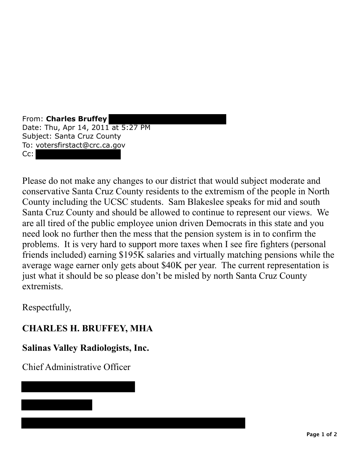From: **Charles Bruffey**  Date: Thu, Apr 14, 2011 at 5:27 PM Subject: Santa Cruz County To: votersfirstact@crc.ca.gov Cc:

Please do not make any changes to our district that would subject moderate and conservative Santa Cruz County residents to the extremism of the people in North County including the UCSC students. Sam Blakeslee speaks for mid and south Santa Cruz County and should be allowed to continue to represent our views. We are all tired of the public employee union driven Democrats in this state and you need look no further then the mess that the pension system is in to confirm the problems. It is very hard to support more taxes when I see fire fighters (personal friends included) earning \$195K salaries and virtually matching pensions while the average wage earner only gets about \$40K per year. The current representation is just what it should be so please don't be misled by north Santa Cruz County extremists.

Respectfully,

## **CHARLES H. BRUFFEY, MHA**

## **Salinas Valley Radiologists, Inc.**

Chief Administrative Officer